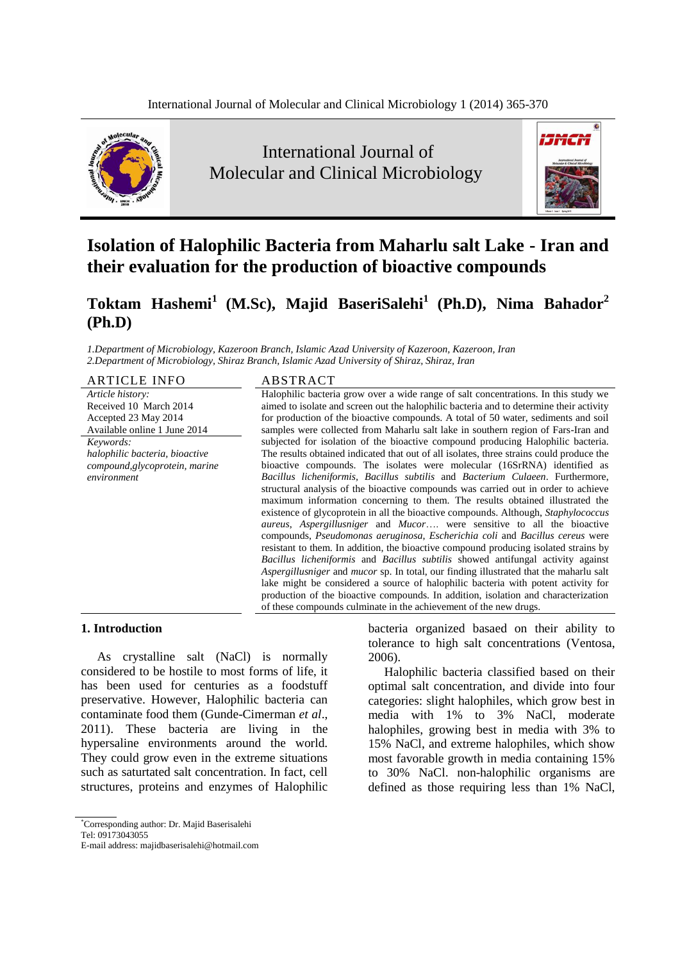

International Journal of Molecular and Clinical Microbiology



# **Isolation of Halophilic Bacteria from Maharlu salt Lake - Iran and their evaluation for the production of bioactive compounds**

# **Toktam Hashemi<sup>1</sup> (M.Sc), Majid BaseriSalehi<sup>1</sup> (Ph.D), Nima Bahador<sup>2</sup> (Ph.D)**

*1.Department of Microbiology, Kazeroon Branch, Islamic Azad University of Kazeroon, Kazeroon, Iran 2.Department of Microbiology, Shiraz Branch, Islamic Azad University of Shiraz, Shiraz, Iran*

ARTICLE INFO ABSTRACT *Article history:* Received 10 March 2014 Accepted 23 May 2014 Available online 1 June 2014 *Keywords: halophilic bacteria, bioactive compound,glycoprotein, marine environment*

Halophilic bacteria grow over a wide range of salt concentrations. In this study we aimed to isolate and screen out the halophilic bacteria and to determine their activity for production of the bioactive compounds. A total of 50 water, sediments and soil samples were collected from Maharlu salt lake in southern region of Fars-Iran and subjected for isolation of the bioactive compound producing Halophilic bacteria. The results obtained indicated that out of all isolates, three strains could produce the bioactive compounds. The isolates were molecular (16SrRNA) identified as *Bacillus licheniformis, Bacillus subtilis* and *Bacterium Culaeen*. Furthermore, structural analysis of the bioactive compounds was carried out in order to achieve maximum information concerning to them. The results obtained illustrated the existence of glycoprotein in all the bioactive compounds. Although, *Staphylococcus aureus*, *Aspergillusniger* and *Mucor*…. were sensitive to all the bioactive compounds, *Pseudomonas aeruginosa*, *Escherichia coli* and *Bacillus cereus* were resistant to them. In addition, the bioactive compound producing isolated strains by *Bacillus licheniformis* and *Bacillus subtilis* showed antifungal activity against *Aspergillusniger* and *mucor* sp. In total, our finding illustrated that the maharlu salt lake might be considered a source of halophilic bacteria with potent activity for production of the bioactive compounds. In addition, isolation and characterization of these compounds culminate in the achievement of the new drugs.

2006).

bacteria organized basaed on their ability to tolerance to high salt concentrations (Ventosa,

Halophilic bacteria classified based on their optimal salt concentration, and divide into four categories: slight halophiles, which grow best in media with 1% to 3% NaCl, moderate halophiles, growing best in media with 3% to 15% NaCl, and extreme halophiles, which show most favorable growth in media containing 15% to 30% NaCl. non-halophilic organisms are defined as those requiring less than 1% NaCl,

#### **1. Introduction**

As crystalline salt (NaCl) is normally considered to be hostile to most forms of life, it has been used for centuries as a foodstuff preservative. However, Halophilic bacteria can contaminate food them (Gunde-Cimerman *et al*., 2011). These bacteria are living in the hypersaline environments around the world. They could grow even in the extreme situations such as saturtated salt concentration. In fact, cell structures, proteins and enzymes of Halophilic

<sup>\*</sup>Corresponding author: Dr. Majid Baserisalehi

Tel: 09173043055

E-mail address: majidbaserisalehi@hotmail.com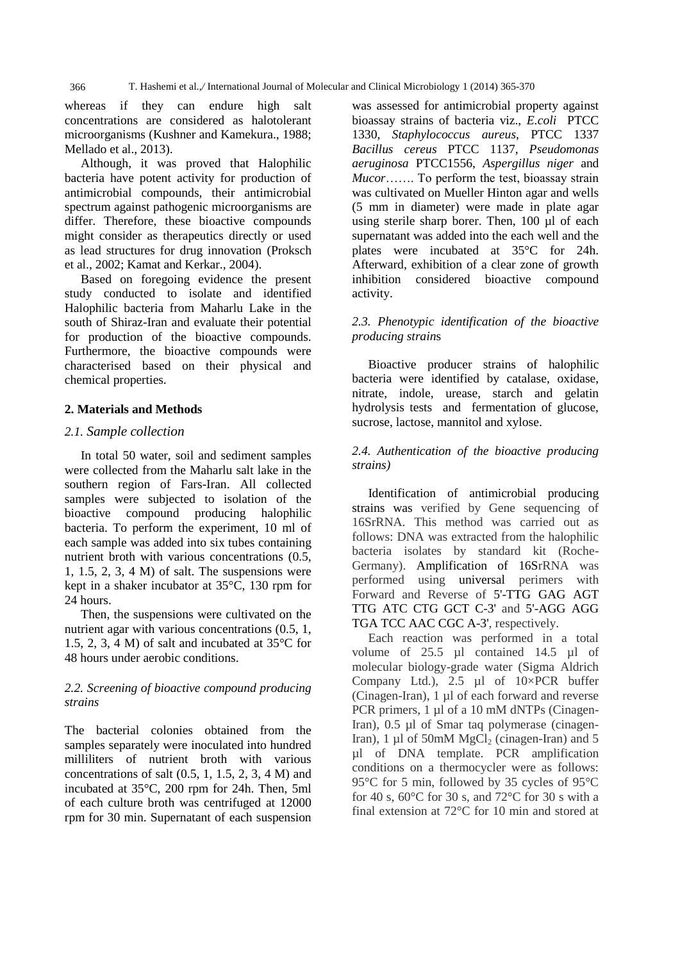366 T. Hashemi et al.,*/* International Journal of Molecular and Clinical Microbiology 1 (2014) 365-370

whereas if they can endure high salt concentrations are considered as halotolerant microorganisms (Kushner and Kamekura., 1988; Mellado et al., 2013).

Although, it was proved that Halophilic bacteria have potent activity for production of antimicrobial compounds, their antimicrobial spectrum against pathogenic microorganisms are differ. Therefore, these bioactive compounds might consider as therapeutics directly or used as lead structures for drug innovation (Proksch et al., 2002; Kamat and Kerkar., 2004).

Based on foregoing evidence the present study conducted to isolate and identified Halophilic bacteria from Maharlu Lake in the south of Shiraz-Iran and evaluate their potential for production of the bioactive compounds. Furthermore, the bioactive compounds were characterised based on their physical and chemical properties.

# **2. Materials and Methods**

### *2.1. Sample collection*

In total 50 water, soil and sediment samples were collected from the Maharlu salt lake in the southern region of Fars-Iran. All collected samples were subjected to isolation of the bioactive compound producing halophilic bacteria. To perform the experiment, 10 ml of each sample was added into six tubes containing nutrient broth with various concentrations (0.5, 1, 1.5, 2, 3, 4 M) of salt. The suspensions were kept in a shaker incubator at 35°C, 130 rpm for 24 hours.

Then, the suspensions were cultivated on the nutrient agar with various concentrations (0.5, 1, 1.5, 2, 3, 4 M) of salt and incubated at 35°C for 48 hours under aerobic conditions.

# *2.2. Screening of bioactive compound producing strains*

The bacterial colonies obtained from the samples separately were inoculated into hundred milliliters of nutrient broth with various concentrations of salt  $(0.5, 1, 1.5, 2, 3, 4 M)$  and incubated at 35°C, 200 rpm for 24h. Then, 5ml of each culture broth was centrifuged at 12000 rpm for 30 min. Supernatant of each suspension

was assessed for antimicrobial property against bioassay strains of bacteria viz., *E.coli* PTCC 1330, *Staphylococcus aureus*, PTCC 1337 *Bacillus cereus* PTCC 1137, *Pseudomonas aeruginosa* PTCC1556, *Aspergillus niger* and *Mucor*……. To perform the test, bioassay strain was cultivated on Mueller Hinton agar and wells (5 mm in diameter) were made in plate agar using sterile sharp borer. Then, 100 µl of each supernatant was added into the each well and the plates were incubated at 35°C for 24h. Afterward, exhibition of a clear zone of growth inhibition considered bioactive compound activity.

# *2.3. Phenotypic identification of the bioactive producing strain*s

Bioactive producer strains of halophilic bacteria were identified by catalase, oxidase, nitrate, indole, urease, starch and gelatin hydrolysis tests and fermentation of glucose, sucrose, lactose, mannitol and xylose.

# *2.4. Authentication of the bioactive producing strains)*

Identification of antimicrobial producing strains was verified by Gene sequencing of 16SrRNA. This method was carried out as follows: DNA was extracted from the halophilic bacteria isolates by standard kit (Roche-Germany). Amplification of 16SrRNA was performed using universal perimers with Forward and Reverse of 5'-TTG GAG AGT TTG ATC CTG GCT C-3' and 5'-AGG AGG TGA TCC AAC CGC A-3', respectively.

Each reaction was performed in a total volume of 25.5 µl contained 14.5 µl of molecular biology-grade water (Sigma Aldrich Company Ltd.), 2.5 µl of 10×PCR buffer (Cinagen-Iran), 1 µl of each forward and reverse PCR primers, 1 µl of a 10 mM dNTPs (Cinagen-Iran), 0.5 µl of Smar taq polymerase (cinagen-Iran), 1 µl of 50mM  $MgCl<sub>2</sub>$  (cinagen-Iran) and 5 µl of DNA template. PCR amplification conditions on a thermocycler were as follows: 95°C for 5 min, followed by 35 cycles of 95°C for 40 s,  $60^{\circ}$ C for 30 s, and  $72^{\circ}$ C for 30 s with a final extension at 72°C for 10 min and stored at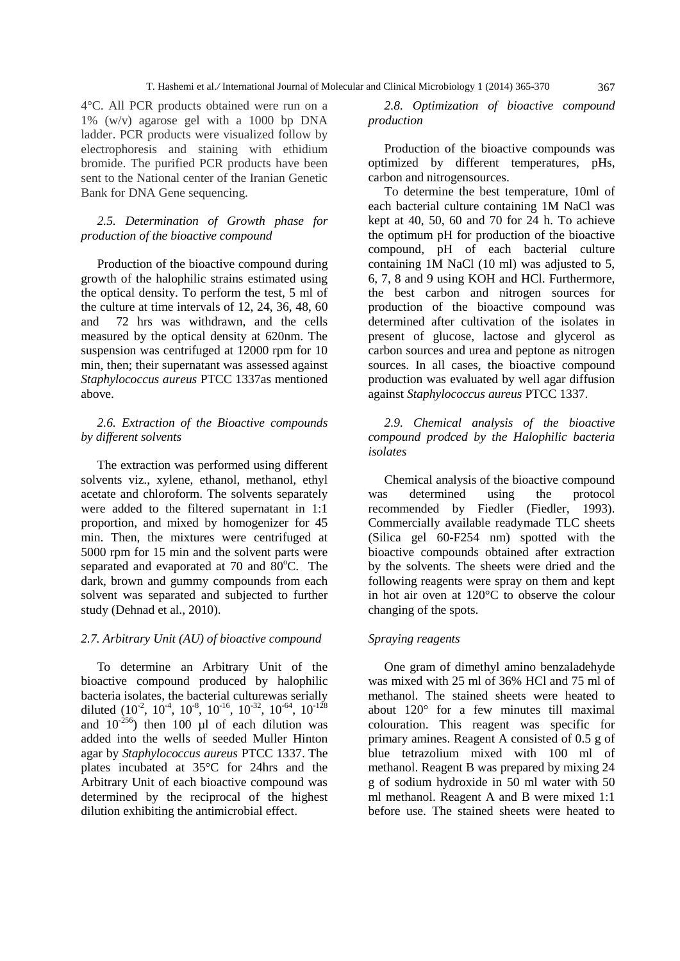4°C. All PCR products obtained were run on a 1% (w/v) agarose gel with a 1000 bp DNA ladder. PCR products were visualized follow by electrophoresis and staining with ethidium bromide. The purified PCR products have been sent to the National center of the Iranian Genetic Bank for DNA Gene sequencing.

# *2.5. Determination of Growth phase for production of the bioactive compound*

Production of the bioactive compound during growth of the halophilic strains estimated using the optical density. To perform the test, 5 ml of the culture at time intervals of 12, 24, 36, 48, 60 and 72 hrs was withdrawn, and the cells measured by the optical density at 620nm. The suspension was centrifuged at 12000 rpm for 10 min, then; their supernatant was assessed against *Staphylococcus aureus* PTCC 1337as mentioned above.

# *2.6. Extraction of the Bioactive compounds by different solvents*

The extraction was performed using different solvents viz., xylene, ethanol, methanol, ethyl acetate and chloroform. The solvents separately were added to the filtered supernatant in 1:1 proportion, and mixed by homogenizer for 45 min. Then, the mixtures were centrifuged at 5000 rpm for 15 min and the solvent parts were separated and evaporated at  $70$  and  $80^{\circ}$ C. The dark, brown and gummy compounds from each solvent was separated and subjected to further study (Dehnad et al., 2010).

## *2.7. Arbitrary Unit (AU) of bioactive compound*

To determine an Arbitrary Unit of the bioactive compound produced by halophilic bacteria isolates, the bacterial culturewas serially diluted  $(10^{-2}, 10^{-4}, 10^{-8}, 10^{-16}, 10^{-32}, 10^{-64}, 10^{-128})$ and  $10^{-256}$ ) then 100 µl of each dilution was added into the wells of seeded Muller Hinton agar by *Staphylococcus aureus* PTCC 1337. The plates incubated at 35°C for 24hrs and the Arbitrary Unit of each bioactive compound was determined by the reciprocal of the highest dilution exhibiting the antimicrobial effect.

*2.8. Optimization of bioactive compound production*

Production of the bioactive compounds was optimized by different temperatures, pHs, carbon and nitrogensources.

To determine the best temperature, 10ml of each bacterial culture containing 1M NaCl was kept at 40, 50, 60 and 70 for 24 h. To achieve the optimum pH for production of the bioactive compound, pH of each bacterial culture containing 1M NaCl (10 ml) was adjusted to 5, 6, 7, 8 and 9 using KOH and HCl. Furthermore, the best carbon and nitrogen sources for production of the bioactive compound was determined after cultivation of the isolates in present of glucose, lactose and glycerol as carbon sources and urea and peptone as nitrogen sources. In all cases, the bioactive compound production was evaluated by well agar diffusion against *Staphylococcus aureus* PTCC 1337.

# *2.9. Chemical analysis of the bioactive compound prodced by the Halophilic bacteria isolates*

Chemical analysis of the bioactive compound was determined using the protocol recommended by Fiedler (Fiedler, 1993). Commercially available readymade TLC sheets (Silica gel 60-F254 nm) spotted with the bioactive compounds obtained after extraction by the solvents. The sheets were dried and the following reagents were spray on them and kept in hot air oven at 120°C to observe the colour changing of the spots.

#### *Spraying reagents*

One gram of dimethyl amino benzaladehyde was mixed with 25 ml of 36% HCl and 75 ml of methanol. The stained sheets were heated to about 120° for a few minutes till maximal colouration. This reagent was specific for primary amines. Reagent A consisted of 0.5 g of blue tetrazolium mixed with 100 ml of methanol. Reagent B was prepared by mixing 24 g of sodium hydroxide in 50 ml water with 50 ml methanol. Reagent A and B were mixed 1:1 before use. The stained sheets were heated to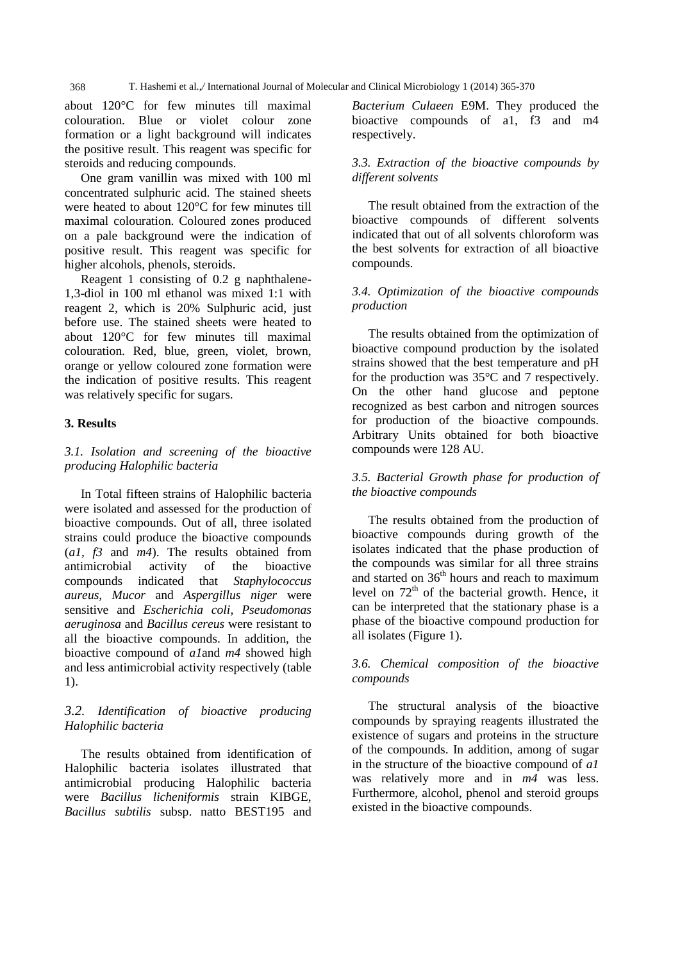368 T. Hashemi et al.,*/* International Journal of Molecular and Clinical Microbiology 1 (2014) 365-370

about 120°C for few minutes till maximal colouration. Blue or violet colour zone formation or a light background will indicates the positive result. This reagent was specific for steroids and reducing compounds.

One gram vanillin was mixed with 100 ml concentrated sulphuric acid. The stained sheets were heated to about 120°C for few minutes till maximal colouration. Coloured zones produced on a pale background were the indication of positive result. This reagent was specific for higher alcohols, phenols, steroids.

Reagent 1 consisting of 0.2 g naphthalene-1,3-diol in 100 ml ethanol was mixed 1:1 with reagent 2, which is 20% Sulphuric acid, just before use. The stained sheets were heated to about 120°C for few minutes till maximal colouration. Red, blue, green, violet, brown, orange or yellow coloured zone formation were the indication of positive results. This reagent was relatively specific for sugars.

# **3. Results**

# *3.1. Isolation and screening of the bioactive producing Halophilic bacteria*

In Total fifteen strains of Halophilic bacteria were isolated and assessed for the production of bioactive compounds. Out of all, three isolated strains could produce the bioactive compounds (*a1, f3* and *m4*). The results obtained from antimicrobial activity of the bioactive compounds indicated that *Staphylococcus aureus, Mucor* and *Aspergillus niger* were sensitive and *Escherichia coli, Pseudomonas aeruginosa* and *Bacillus cereus* were resistant to all the bioactive compounds. In addition, the bioactive compound of *a1*and *m4* showed high and less antimicrobial activity respectively (table 1).

# *3.2. Identification of bioactive producing Halophilic bacteria*

The results obtained from identification of Halophilic bacteria isolates illustrated that antimicrobial producing Halophilic bacteria were *Bacillus licheniformis* strain KIBGE, *Bacillus subtilis* subsp. natto BEST195 and

*Bacterium Culaeen* E9M. They produced the bioactive compounds of a1, f3 and m4 respectively.

# *3.3. Extraction of the bioactive compounds by different solvents*

The result obtained from the extraction of the bioactive compounds of different solvents indicated that out of all solvents chloroform was the best solvents for extraction of all bioactive compounds.

# *3.4. Optimization of the bioactive compounds production*

The results obtained from the optimization of bioactive compound production by the isolated strains showed that the best temperature and pH for the production was 35°C and 7 respectively. On the other hand glucose and peptone recognized as best carbon and nitrogen sources for production of the bioactive compounds. Arbitrary Units obtained for both bioactive compounds were 128 AU.

# *3.5. Bacterial Growth phase for production of the bioactive compounds*

The results obtained from the production of bioactive compounds during growth of the isolates indicated that the phase production of the compounds was similar for all three strains and started on  $36<sup>th</sup>$  hours and reach to maximum level on  $72<sup>th</sup>$  of the bacterial growth. Hence, it can be interpreted that the stationary phase is a phase of the bioactive compound production for all isolates (Figure 1).

# *3.6. Chemical composition of the bioactive compounds*

The structural analysis of the bioactive compounds by spraying reagents illustrated the existence of sugars and proteins in the structure of the compounds. In addition, among of sugar in the structure of the bioactive compound of *a1* was relatively more and in *m4* was less. Furthermore, alcohol, phenol and steroid groups existed in the bioactive compounds.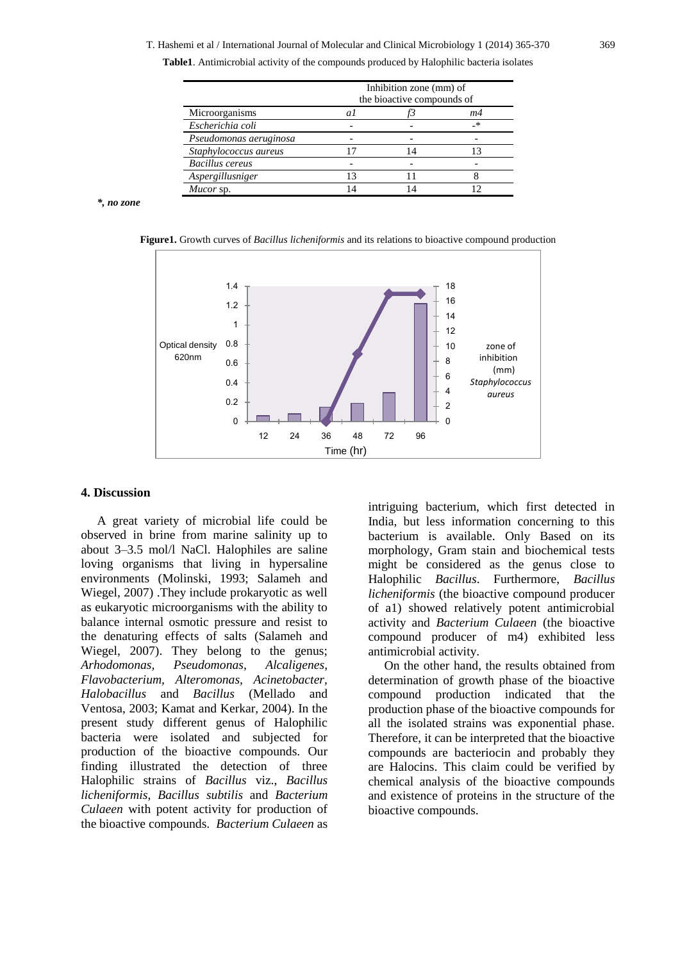T. Hashemi et al / International Journal of Molecular and Clinical Microbiology 1 (2014) 365-370 369

**Table1**. Antimicrobial activity of the compounds produced by Halophilic bacteria isolates

|                        | Inhibition zone (mm) of<br>the bioactive compounds of |  |    |
|------------------------|-------------------------------------------------------|--|----|
| Microorganisms         | $\overline{a}$                                        |  | m4 |
| Escherichia coli       |                                                       |  | _* |
| Pseudomonas aeruginosa |                                                       |  |    |
| Staphylococcus aureus  |                                                       |  |    |
| <b>Bacillus</b> cereus |                                                       |  |    |
| Aspergillusniger       | 13                                                    |  |    |
| Mucor sp.              |                                                       |  |    |

*\*, no zone*

**Figure1.** Growth curves of *Bacillus licheniformis* and its relations to bioactive compound production



#### **4. Discussion**

A great variety of microbial life could be observed in brine from marine salinity up to about 3–3.5 mol/l NaCl. Halophiles are saline loving organisms that living in hypersaline environments (Molinski, 1993; Salameh and Wiegel, 2007) .They include prokaryotic as well as eukaryotic microorganisms with the ability to balance internal osmotic pressure and resist to the denaturing effects of salts (Salameh and Wiegel, 2007). They belong to the genus; *Arhodomonas, Pseudomonas, Alcaligenes, Flavobacterium, Alteromonas, Acinetobacter, Halobacillus* and *Bacillus* (Mellado and Ventosa, 2003; Kamat and Kerkar, 2004). In the present study different genus of Halophilic bacteria were isolated and subjected for production of the bioactive compounds. Our finding illustrated the detection of three Halophilic strains of *Bacillus* viz., *Bacillus licheniformis*, *Bacillus subtilis* and *Bacterium Culaeen* with potent activity for production of the bioactive compounds. *Bacterium Culaeen* as

intriguing bacterium, which first detected in India, but less information concerning to this bacterium is available. Only Based on its morphology, Gram stain and biochemical tests might be considered as the genus close to Halophilic *Bacillus*. Furthermore, *Bacillus licheniformis* (the bioactive compound producer of a1) showed relatively potent antimicrobial activity and *Bacterium Culaeen* (the bioactive compound producer of m4) exhibited less antimicrobial activity.

On the other hand, the results obtained from determination of growth phase of the bioactive compound production indicated that the production phase of the bioactive compounds for all the isolated strains was exponential phase. Therefore, it can be interpreted that the bioactive compounds are bacteriocin and probably they are Halocins. This claim could be verified by chemical analysis of the bioactive compounds and existence of proteins in the structure of the bioactive compounds.